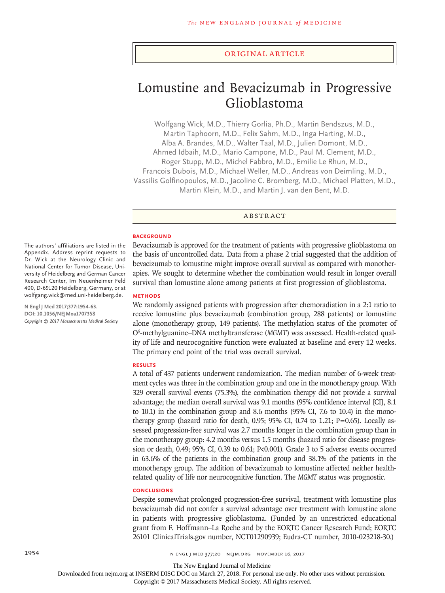## Original Article

# Lomustine and Bevacizumab in Progressive Glioblastoma

Wolfgang Wick, M.D., Thierry Gorlia, Ph.D., Martin Bendszus, M.D., Martin Taphoorn, M.D., Felix Sahm, M.D., Inga Harting, M.D., Alba A. Brandes, M.D., Walter Taal, M.D., Julien Domont, M.D., Ahmed Idbaih, M.D., Mario Campone, M.D., Paul M. Clement, M.D., Roger Stupp, M.D., Michel Fabbro, M.D., Emilie Le Rhun, M.D., Francois Dubois, M.D., Michael Weller, M.D., Andreas von Deimling, M.D., Vassilis Golfinopoulos, M.D., Jacoline C. Bromberg, M.D., Michael Platten, M.D., Martin Klein, M.D., and Martin J. van den Bent, M.D.

## ABSTRACT

#### **BACKGROUND**

Bevacizumab is approved for the treatment of patients with progressive glioblastoma on the basis of uncontrolled data. Data from a phase 2 trial suggested that the addition of bevacizumab to lomustine might improve overall survival as compared with monotherapies. We sought to determine whether the combination would result in longer overall survival than lomustine alone among patients at first progression of glioblastoma.

# **METHODS**

We randomly assigned patients with progression after chemoradiation in a 2:1 ratio to receive lomustine plus bevacizumab (combination group, 288 patients) or lomustine alone (monotherapy group, 149 patients). The methylation status of the promoter of O<sup>6</sup>-methylguanine–DNA methyltransferase (MGMT) was assessed. Health-related quality of life and neurocognitive function were evaluated at baseline and every 12 weeks. The primary end point of the trial was overall survival.

#### **RESULTS**

A total of 437 patients underwent randomization. The median number of 6-week treatment cycles was three in the combination group and one in the monotherapy group. With 329 overall survival events (75.3%), the combination therapy did not provide a survival advantage; the median overall survival was 9.1 months (95% confidence interval [CI], 8.1 to 10.1) in the combination group and 8.6 months (95% CI, 7.6 to 10.4) in the monotherapy group (hazard ratio for death,  $0.95$ ;  $95\%$  CI,  $0.74$  to 1.21; P=0.65). Locally assessed progression-free survival was 2.7 months longer in the combination group than in the monotherapy group: 4.2 months versus 1.5 months (hazard ratio for disease progression or death, 0.49; 95% CI, 0.39 to 0.61; P<0.001). Grade 3 to 5 adverse events occurred in 63.6% of the patients in the combination group and 38.1% of the patients in the monotherapy group. The addition of bevacizumab to lomustine affected neither healthrelated quality of life nor neurocognitive function. The *MGMT* status was prognostic.

#### **CONCLUSIONS**

Despite somewhat prolonged progression-free survival, treatment with lomustine plus bevacizumab did not confer a survival advantage over treatment with lomustine alone in patients with progressive glioblastoma. (Funded by an unrestricted educational grant from F. Hoffmann–La Roche and by the EORTC Cancer Research Fund; EORTC 26101 ClinicalTrials.gov number, NCT01290939; Eudra-CT number, 2010-023218-30.)

The authors' affiliations are listed in the Appendix. Address reprint requests to Dr. Wick at the Neurology Clinic and National Center for Tumor Disease, University of Heidelberg and German Cancer Research Center, Im Neuenheimer Feld 400, D-69120 Heidelberg, Germany, or at wolfgang.wick@med.uni-heidelberg.de.

**N Engl J Med 2017;377:1954-63. DOI: 10.1056/NEJMoa1707358** *Copyright © 2017 Massachusetts Medical Society.*

The New England Journal of Medicine

Downloaded from nejm.org at INSERM DISC DOC on March 27, 2018. For personal use only. No other uses without permission.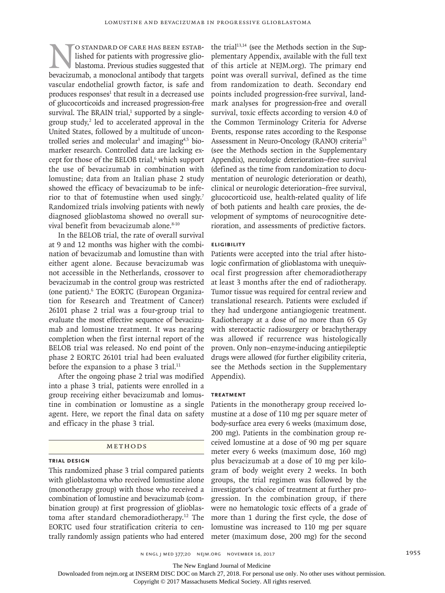O STANDARD OF CARE HAS BEEN ESTAB-<br>lished for patients with progressive glio-<br>blastoma. Previous studies suggested that<br>hevacizumab. a monoclonal antibody that targets lished for patients with progressive glioblastoma. Previous studies suggested that bevacizumab, a monoclonal antibody that targets vascular endothelial growth factor, is safe and produces responses<sup>1</sup> that result in a decreased use of glucocorticoids and increased progression-free survival. The BRAIN trial, $1$  supported by a singlegroup study,<sup>2</sup> led to accelerated approval in the United States, followed by a multitude of uncontrolled series and molecular<sup>3</sup> and imaging<sup>4,5</sup> biomarker research. Controlled data are lacking except for those of the BELOB trial,<sup>6</sup> which support the use of bevacizumab in combination with lomustine; data from an Italian phase 2 study showed the efficacy of bevacizumab to be inferior to that of fotemustine when used singly.7 Randomized trials involving patients with newly diagnosed glioblastoma showed no overall survival benefit from bevacizumab alone.<sup>8-10</sup>

In the BELOB trial, the rate of overall survival at 9 and 12 months was higher with the combination of bevacizumab and lomustine than with either agent alone. Because bevacizumab was not accessible in the Netherlands, crossover to bevacizumab in the control group was restricted (one patient).6 The EORTC (European Organization for Research and Treatment of Cancer) 26101 phase 2 trial was a four-group trial to evaluate the most effective sequence of bevacizumab and lomustine treatment. It was nearing completion when the first internal report of the BELOB trial was released. No end point of the phase 2 EORTC 26101 trial had been evaluated before the expansion to a phase 3 trial.<sup>11</sup>

After the ongoing phase 2 trial was modified into a phase 3 trial, patients were enrolled in a group receiving either bevacizumab and lomustine in combination or lomustine as a single agent. Here, we report the final data on safety and efficacy in the phase 3 trial.

#### Methods

# **Trial Design**

This randomized phase 3 trial compared patients with glioblastoma who received lomustine alone (monotherapy group) with those who received a combination of lomustine and bevacizumab (combination group) at first progression of glioblastoma after standard chemoradiotherapy.12 The EORTC used four stratification criteria to centrally randomly assign patients who had entered

the trial<sup>13,14</sup> (see the Methods section in the Supplementary Appendix, available with the full text of this article at NEJM.org). The primary end point was overall survival, defined as the time from randomization to death. Secondary end points included progression-free survival, landmark analyses for progression-free and overall survival, toxic effects according to version 4.0 of the Common Terminology Criteria for Adverse Events, response rates according to the Response Assessment in Neuro-Oncology (RANO) criteria<sup>15</sup> (see the Methods section in the Supplementary Appendix), neurologic deterioration–free survival (defined as the time from randomization to documentation of neurologic deterioration or death), clinical or neurologic deterioration–free survival, glucocorticoid use, health-related quality of life of both patients and health care proxies, the development of symptoms of neurocognitive deterioration, and assessments of predictive factors.

# **Eligibility**

Patients were accepted into the trial after histologic confirmation of glioblastoma with unequivocal first progression after chemoradiotherapy at least 3 months after the end of radiotherapy. Tumor tissue was required for central review and translational research. Patients were excluded if they had undergone antiangiogenic treatment. Radiotherapy at a dose of no more than 65 Gy with stereotactic radiosurgery or brachytherapy was allowed if recurrence was histologically proven. Only non–enzyme-inducing antiepileptic drugs were allowed (for further eligibility criteria, see the Methods section in the Supplementary Appendix).

# **Treatment**

Patients in the monotherapy group received lomustine at a dose of 110 mg per square meter of body-surface area every 6 weeks (maximum dose, 200 mg). Patients in the combination group received lomustine at a dose of 90 mg per square meter every 6 weeks (maximum dose, 160 mg) plus bevacizumab at a dose of 10 mg per kilogram of body weight every 2 weeks. In both groups, the trial regimen was followed by the investigator's choice of treatment at further progression. In the combination group, if there were no hematologic toxic effects of a grade of more than 1 during the first cycle, the dose of lomustine was increased to 110 mg per square meter (maximum dose, 200 mg) for the second

n engl j med 377;20 nejm.org November 16, 2017 1955

The New England Journal of Medicine

Downloaded from nejm.org at INSERM DISC DOC on March 27, 2018. For personal use only. No other uses without permission.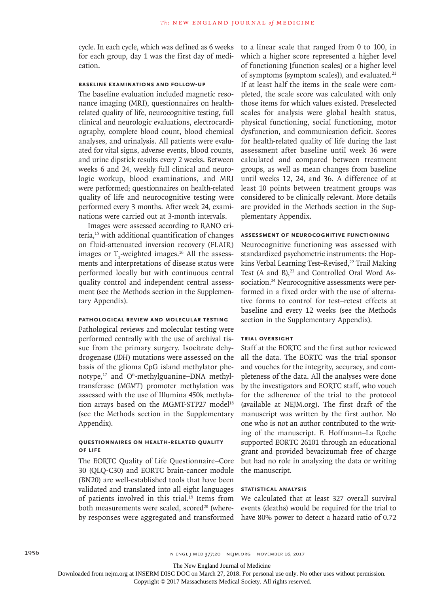cycle. In each cycle, which was defined as 6 weeks for each group, day 1 was the first day of medication.

# **Baseline Examinations and Follow-up**

The baseline evaluation included magnetic resonance imaging (MRI), questionnaires on healthrelated quality of life, neurocognitive testing, full clinical and neurologic evaluations, electrocardiography, complete blood count, blood chemical analyses, and urinalysis. All patients were evaluated for vital signs, adverse events, blood counts, and urine dipstick results every 2 weeks. Between weeks 6 and 24, weekly full clinical and neurologic workup, blood examinations, and MRI were performed; questionnaires on health-related quality of life and neurocognitive testing were performed every 3 months. After week 24, examinations were carried out at 3-month intervals.

Images were assessed according to RANO criteria,15 with additional quantification of changes on fluid-attenuated inversion recovery (FLAIR) images or  $T_2$ -weighted images.<sup>16</sup> All the assessments and interpretations of disease status were performed locally but with continuous central quality control and independent central assessment (see the Methods section in the Supplementary Appendix).

#### **Pathological Review and Molecular Testing**

Pathological reviews and molecular testing were performed centrally with the use of archival tissue from the primary surgery. Isocitrate dehydrogenase (*IDH*) mutations were assessed on the basis of the glioma CpG island methylator phenotype,<sup>17</sup> and O<sup>6</sup>-methylguanine–DNA methyltransferase (*MGMT*) promoter methylation was assessed with the use of Illumina 450k methylation arrays based on the MGMT-STP27 model<sup>18</sup> (see the Methods section in the Supplementary Appendix).

# **Questionnaires on Health-Related Quality of Life**

The EORTC Quality of Life Questionnaire–Core 30 (QLQ-C30) and EORTC brain-cancer module (BN20) are well-established tools that have been validated and translated into all eight languages of patients involved in this trial.<sup>19</sup> Items from both measurements were scaled, scored<sup>20</sup> (whereby responses were aggregated and transformed have 80% power to detect a hazard ratio of 0.72

to a linear scale that ranged from 0 to 100, in which a higher score represented a higher level of functioning [function scales] or a higher level of symptoms [symptom scales]), and evaluated.<sup>21</sup> If at least half the items in the scale were completed, the scale score was calculated with only those items for which values existed. Preselected scales for analysis were global health status, physical functioning, social functioning, motor dysfunction, and communication deficit. Scores for health-related quality of life during the last assessment after baseline until week 36 were calculated and compared between treatment groups, as well as mean changes from baseline until weeks 12, 24, and 36. A difference of at least 10 points between treatment groups was considered to be clinically relevant. More details are provided in the Methods section in the Supplementary Appendix.

# **Assessment of Neurocognitive Functioning**

Neurocognitive functioning was assessed with standardized psychometric instruments: the Hopkins Verbal Learning Test–Revised,<sup>22</sup> Trail Making Test (A and B), $^{23}$  and Controlled Oral Word Association.<sup>24</sup> Neurocognitive assessments were performed in a fixed order with the use of alternative forms to control for test–retest effects at baseline and every 12 weeks (see the Methods section in the Supplementary Appendix).

#### **Trial Oversight**

Staff at the EORTC and the first author reviewed all the data. The EORTC was the trial sponsor and vouches for the integrity, accuracy, and completeness of the data. All the analyses were done by the investigators and EORTC staff, who vouch for the adherence of the trial to the protocol (available at NEJM.org). The first draft of the manuscript was written by the first author. No one who is not an author contributed to the writing of the manuscript. F. Hoffmann–La Roche supported EORTC 26101 through an educational grant and provided bevacizumab free of charge but had no role in analyzing the data or writing the manuscript.

# **Statistical Analysis**

We calculated that at least 327 overall survival events (deaths) would be required for the trial to

The New England Journal of Medicine

Downloaded from nejm.org at INSERM DISC DOC on March 27, 2018. For personal use only. No other uses without permission.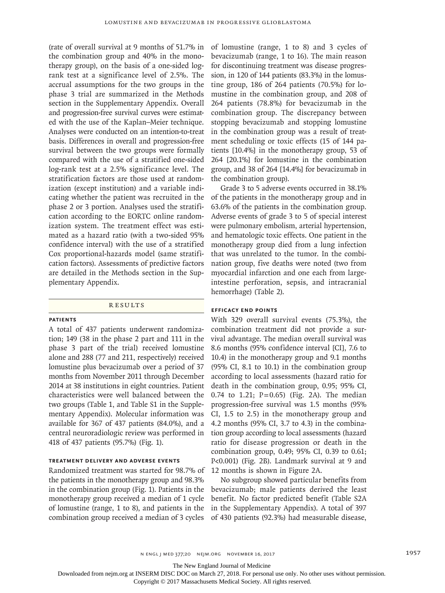(rate of overall survival at 9 months of 51.7% in the combination group and 40% in the monotherapy group), on the basis of a one-sided logrank test at a significance level of 2.5%. The accrual assumptions for the two groups in the phase 3 trial are summarized in the Methods section in the Supplementary Appendix. Overall and progression-free survival curves were estimated with the use of the Kaplan–Meier technique. Analyses were conducted on an intention-to-treat basis. Differences in overall and progression-free survival between the two groups were formally compared with the use of a stratified one-sided log-rank test at a 2.5% significance level. The stratification factors are those used at randomization (except institution) and a variable indicating whether the patient was recruited in the phase 2 or 3 portion. Analyses used the stratification according to the EORTC online randomization system. The treatment effect was estimated as a hazard ratio (with a two-sided 95% confidence interval) with the use of a stratified Cox proportional-hazards model (same stratification factors). Assessments of predictive factors are detailed in the Methods section in the Supplementary Appendix.

#### **RESULTS**

#### **Patients**

A total of 437 patients underwent randomization; 149 (38 in the phase 2 part and 111 in the phase 3 part of the trial) received lomustine alone and 288 (77 and 211, respectively) received lomustine plus bevacizumab over a period of 37 months from November 2011 through December 2014 at 38 institutions in eight countries. Patient characteristics were well balanced between the two groups (Table 1, and Table S1 in the Supplementary Appendix). Molecular information was available for 367 of 437 patients (84.0%), and a central neuroradiologic review was performed in 418 of 437 patients (95.7%) (Fig. 1).

# **Treatment Delivery and Adverse Events**

Randomized treatment was started for 98.7% of the patients in the monotherapy group and 98.3% in the combination group (Fig. 1). Patients in the monotherapy group received a median of 1 cycle of lomustine (range, 1 to 8), and patients in the combination group received a median of 3 cycles

of lomustine (range, 1 to 8) and 3 cycles of bevacizumab (range, 1 to 16). The main reason for discontinuing treatment was disease progression, in 120 of 144 patients (83.3%) in the lomustine group, 186 of 264 patients (70.5%) for lomustine in the combination group, and 208 of 264 patients (78.8%) for bevacizumab in the combination group. The discrepancy between stopping bevacizumab and stopping lomustine in the combination group was a result of treatment scheduling or toxic effects (15 of 144 patients [10.4%] in the monotherapy group, 53 of 264 [20.1%] for lomustine in the combination group, and 38 of 264 [14.4%] for bevacizumab in the combination group).

Grade 3 to 5 adverse events occurred in 38.1% of the patients in the monotherapy group and in 63.6% of the patients in the combination group. Adverse events of grade 3 to 5 of special interest were pulmonary embolism, arterial hypertension, and hematologic toxic effects. One patient in the monotherapy group died from a lung infection that was unrelated to the tumor. In the combination group, five deaths were noted (two from myocardial infarction and one each from largeintestine perforation, sepsis, and intracranial hemorrhage) (Table 2).

### **Efficacy End Points**

With 329 overall survival events (75.3%), the combination treatment did not provide a survival advantage. The median overall survival was 8.6 months (95% confidence interval [CI], 7.6 to 10.4) in the monotherapy group and 9.1 months (95% CI, 8.1 to 10.1) in the combination group according to local assessments (hazard ratio for death in the combination group, 0.95; 95% CI, 0.74 to 1.21;  $P=0.65$ ) (Fig. 2A). The median progression-free survival was 1.5 months (95% CI, 1.5 to 2.5) in the monotherapy group and 4.2 months (95% CI, 3.7 to 4.3) in the combination group according to local assessments (hazard ratio for disease progression or death in the combination group, 0.49; 95% CI, 0.39 to 0.61; P<0.001) (Fig. 2B). Landmark survival at 9 and 12 months is shown in Figure 2A.

No subgroup showed particular benefits from bevacizumab; male patients derived the least benefit. No factor predicted benefit (Table S2A in the Supplementary Appendix). A total of 397 of 430 patients (92.3%) had measurable disease,

n engl j med 377;20 nejm.org November 16, 2017 1957

The New England Journal of Medicine

Downloaded from nejm.org at INSERM DISC DOC on March 27, 2018. For personal use only. No other uses without permission.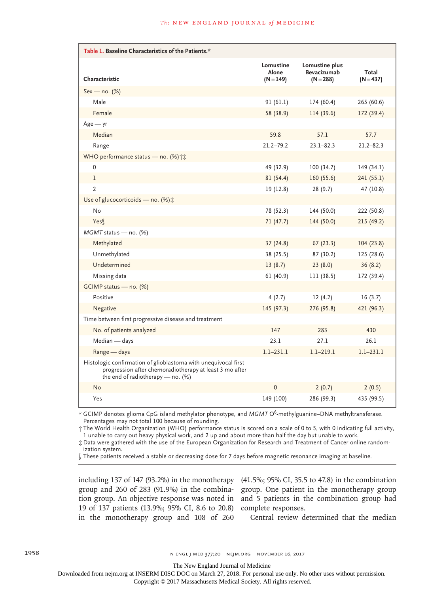| Table 1. Baseline Characteristics of the Patients.*                                                                                                               |                                   |                                              |                      |  |  |
|-------------------------------------------------------------------------------------------------------------------------------------------------------------------|-----------------------------------|----------------------------------------------|----------------------|--|--|
| Characteristic                                                                                                                                                    | Lomustine<br>Alone<br>$(N = 149)$ | Lomustine plus<br>Bevacizumab<br>$(N = 288)$ | Total<br>$(N = 437)$ |  |  |
| Sex - no. (%)                                                                                                                                                     |                                   |                                              |                      |  |  |
| Male                                                                                                                                                              | 91(61.1)                          | 174 (60.4)                                   | 265 (60.6)           |  |  |
| Female                                                                                                                                                            | 58 (38.9)                         | 114 (39.6)                                   | 172 (39.4)           |  |  |
| $Age - yr$                                                                                                                                                        |                                   |                                              |                      |  |  |
| Median                                                                                                                                                            | 59.8                              | 57.1                                         | 57.7                 |  |  |
| Range                                                                                                                                                             | $21.2 - 79.2$                     | $23.1 - 82.3$                                | $21.2 - 82.3$        |  |  |
| WHO performance status - no. (%) †*                                                                                                                               |                                   |                                              |                      |  |  |
| $\mathbf{0}$                                                                                                                                                      | 49 (32.9)                         | 100(34.7)                                    | 149 (34.1)           |  |  |
| 1                                                                                                                                                                 | 81(54.4)                          | 160 (55.6)                                   | 241(55.1)            |  |  |
| $\overline{2}$                                                                                                                                                    | 19 (12.8)                         | 28 (9.7)                                     | 47 (10.8)            |  |  |
| Use of glucocorticoids - no. (%) :                                                                                                                                |                                   |                                              |                      |  |  |
| No                                                                                                                                                                | 78 (52.3)                         | 144 (50.0)                                   | 222 (50.8)           |  |  |
| Yes <sub>l</sub>                                                                                                                                                  | 71(47.7)                          | 144 (50.0)                                   | 215(49.2)            |  |  |
| MGMT status - no. (%)                                                                                                                                             |                                   |                                              |                      |  |  |
| Methylated                                                                                                                                                        | 37(24.8)                          | 67(23.3)                                     | 104(23.8)            |  |  |
| Unmethylated                                                                                                                                                      | 38 (25.5)                         | 87 (30.2)                                    | 125 (28.6)           |  |  |
| Undetermined                                                                                                                                                      | 13(8.7)                           | 23(8.0)                                      | 36(8.2)              |  |  |
| Missing data                                                                                                                                                      | 61 (40.9)                         | 111 (38.5)                                   | 172 (39.4)           |  |  |
| $GCIMP$ status — no. $(\%)$                                                                                                                                       |                                   |                                              |                      |  |  |
| Positive                                                                                                                                                          | 4(2.7)                            | 12(4.2)                                      | 16(3.7)              |  |  |
| Negative                                                                                                                                                          | 145 (97.3)                        | 276 (95.8)                                   | 421 (96.3)           |  |  |
| Time between first progressive disease and treatment                                                                                                              |                                   |                                              |                      |  |  |
| No. of patients analyzed                                                                                                                                          | 147                               | 283                                          | 430                  |  |  |
| Median - days                                                                                                                                                     | 23.1                              | 27.1                                         | 26.1                 |  |  |
| Range - days                                                                                                                                                      | $1.1 - 231.1$                     | $1.1 - 219.1$                                | $1.1 - 231.1$        |  |  |
| Histologic confirmation of glioblastoma with unequivocal first<br>progression after chemoradiotherapy at least 3 mo after<br>the end of radiotherapy — no. $(\%)$ |                                   |                                              |                      |  |  |
| No                                                                                                                                                                | $\mathbf 0$                       | 2(0.7)                                       | 2(0.5)               |  |  |
| Yes                                                                                                                                                               | 149 (100)                         | 286 (99.3)                                   | 435 (99.5)           |  |  |

\* GCIMP denotes glioma CpG island methylator phenotype, and *MGMT* O6-methylguanine–DNA methyltransferase. Percentages may not total 100 because of rounding.

† The World Health Organization (WHO) performance status is scored on a scale of 0 to 5, with 0 indicating full activity, 1 unable to carry out heavy physical work, and 2 up and about more than half the day but unable to work.

‡ Data were gathered with the use of the European Organization for Research and Treatment of Cancer online randomization system.

§ These patients received a stable or decreasing dose for 7 days before magnetic resonance imaging at baseline.

including 137 of 147 (93.2%) in the monotherapy (41.5%; 95% CI, 35.5 to 47.8) in the combination group and 260 of 283 (91.9%) in the combina-group. One patient in the monotherapy group tion group. An objective response was noted in and 5 patients in the combination group had 19 of 137 patients (13.9%; 95% CI, 8.6 to 20.8) complete responses. in the monotherapy group and 108 of 260

Central review determined that the median

1958 1958 n engl j med 377;20 nejm.org November 16, 2017

The New England Journal of Medicine

Downloaded from nejm.org at INSERM DISC DOC on March 27, 2018. For personal use only. No other uses without permission.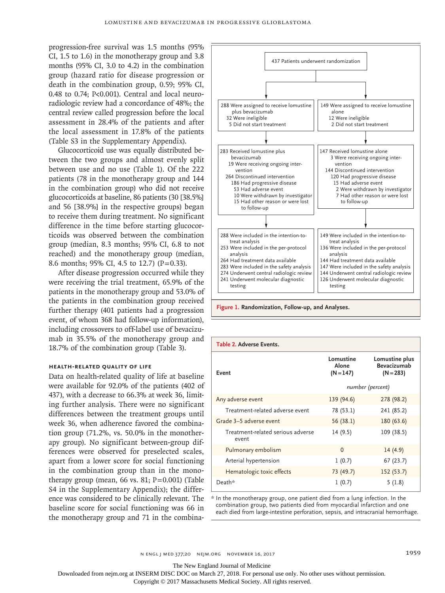progression-free survival was 1.5 months (95% CI, 1.5 to 1.6) in the monotherapy group and 3.8 months (95% CI, 3.0 to 4.2) in the combination group (hazard ratio for disease progression or death in the combination group, 0.59; 95% CI, 0.48 to 0.74; P<0.001). Central and local neuroradiologic review had a concordance of 48%; the central review called progression before the local assessment in 28.4% of the patients and after the local assessment in 17.8% of the patients (Table S3 in the Supplementary Appendix).

Glucocorticoid use was equally distributed between the two groups and almost evenly split between use and no use (Table 1). Of the 222 patients (78 in the monotherapy group and 144 in the combination group) who did not receive glucocorticoids at baseline, 86 patients (30 [38.5%] and 56 [38.9%] in the respective groups) began to receive them during treatment. No significant difference in the time before starting glucocorticoids was observed between the combination group (median, 8.3 months; 95% CI, 6.8 to not reached) and the monotherapy group (median, 8.6 months; 95% CI, 4.5 to 12.7) (P=0.33).

After disease progression occurred while they were receiving the trial treatment, 65.9% of the patients in the monotherapy group and 53.0% of the patients in the combination group received further therapy (401 patients had a progression event, of whom 368 had follow-up information), including crossovers to off-label use of bevacizumab in 35.5% of the monotherapy group and 18.7% of the combination group (Table 3).

# **Health-Related Quality of Life**

Data on health-related quality of life at baseline were available for 92.0% of the patients (402 of 437), with a decrease to 66.3% at week 36, limiting further analysis. There were no significant differences between the treatment groups until week 36, when adherence favored the combination group (71.2%, vs. 50.0% in the monotherapy group). No significant between-group differences were observed for preselected scales, apart from a lower score for social functioning in the combination group than in the monotherapy group (mean, 66 vs. 81;  $P = 0.001$ ) (Table S4 in the Supplementary Appendix); the difference was considered to be clinically relevant. The baseline score for social functioning was 66 in the monotherapy group and 71 in the combina-



**Figure 1. Randomization, Follow-up, and Analyses.**

| Table 2. Adverse Events.                   |                                   |                                                     |
|--------------------------------------------|-----------------------------------|-----------------------------------------------------|
| Event                                      | Lomustine<br>Alone<br>$(N = 147)$ | Lomustine plus<br><b>Bevacizumab</b><br>$(N = 283)$ |
|                                            | number (percent)                  |                                                     |
| Any adverse event                          | 139 (94.6)                        | 278 (98.2)                                          |
| Treatment-related adverse event            | 78 (53.1)                         | 241 (85.2)                                          |
| Grade 3-5 adverse event                    | 56 (38.1)                         | 180 (63.6)                                          |
| Treatment-related serious adverse<br>event | 14(9.5)                           | 109 (38.5)                                          |
| Pulmonary embolism                         | $\Omega$                          | 14(4.9)                                             |
| Arterial hypertension                      | 1(0.7)                            | 67(23.7)                                            |
| Hematologic toxic effects                  | 73 (49.7)                         | 152 (53.7)                                          |
| Death*                                     | 1(0.7)                            | 5(1.8)                                              |

\* In the monotherapy group, one patient died from a lung infection. In the combination group, two patients died from myocardial infarction and one each died from large-intestine perforation, sepsis, and intracranial hemorrhage.

n engl j med 377;20 nejm.org November 16, 2017 1959

The New England Journal of Medicine

Downloaded from nejm.org at INSERM DISC DOC on March 27, 2018. For personal use only. No other uses without permission.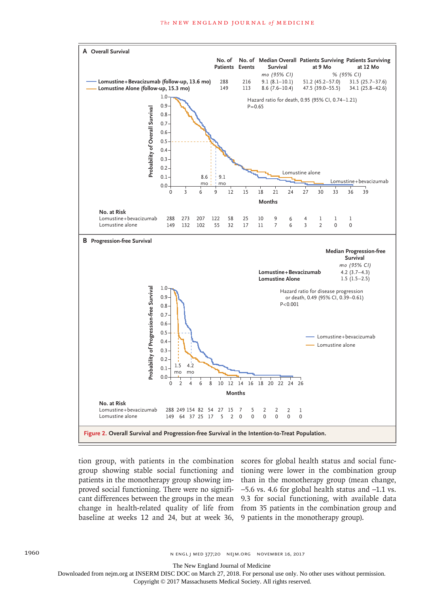

proved social functioning. There were no signifibaseline at weeks 12 and 24, but at week 36, 9 patients in the monotherapy group).

tion group, with patients in the combination scores for global health status and social funcgroup showing stable social functioning and tioning were lower in the combination group patients in the monotherapy group showing im-than in the monotherapy group (mean change, cant differences between the groups in the mean 9.3 for social functioning, with available data change in health-related quality of life from from 35 patients in the combination group and −5.6 vs. 4.6 for global health status and −1.1 vs.

The New England Journal of Medicine

Downloaded from nejm.org at INSERM DISC DOC on March 27, 2018. For personal use only. No other uses without permission.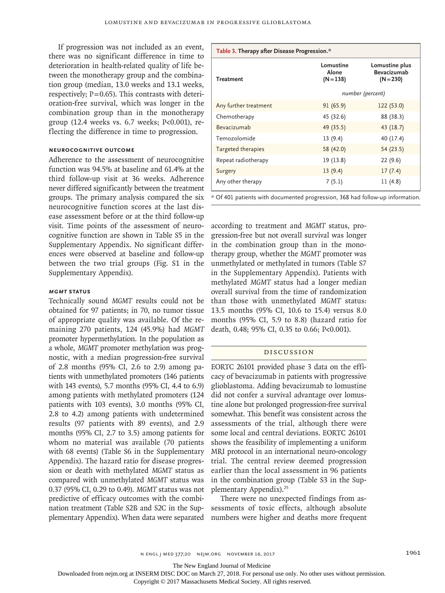If progression was not included as an event, there was no significant difference in time to deterioration in health-related quality of life between the monotherapy group and the combination group (median, 13.0 weeks and 13.1 weeks, respectively;  $P=0.65$ ). This contrasts with deterioration-free survival, which was longer in the combination group than in the monotherapy group (12.4 weeks vs. 6.7 weeks; P<0.001), reflecting the difference in time to progression.

## **Neurocognitive Outcome**

Adherence to the assessment of neurocognitive function was 94.5% at baseline and 61.4% at the third follow-up visit at 36 weeks. Adherence never differed significantly between the treatment groups. The primary analysis compared the six neurocognitive function scores at the last disease assessment before or at the third follow-up visit. Time points of the assessment of neurocognitive function are shown in Table S5 in the Supplementary Appendix. No significant differences were observed at baseline and follow-up between the two trial groups (Fig. S1 in the Supplementary Appendix).

# *MGMT* **Status**

Technically sound *MGMT* results could not be obtained for 97 patients; in 70, no tumor tissue of appropriate quality was available. Of the remaining 270 patients, 124 (45.9%) had *MGMT* promoter hypermethylation. In the population as a whole, *MGMT* promoter methylation was prognostic, with a median progression-free survival of 2.8 months (95% CI, 2.6 to 2.9) among patients with unmethylated promoters (146 patients with 143 events), 5.7 months (95% CI, 4.4 to 6.9) among patients with methylated promoters (124 patients with 103 events), 3.0 months (95% CI, 2.8 to 4.2) among patients with undetermined results (97 patients with 89 events), and 2.9 months (95% CI, 2.7 to 3.5) among patients for whom no material was available (70 patients with 68 events) (Table S6 in the Supplementary Appendix). The hazard ratio for disease progression or death with methylated *MGMT* status as compared with unmethylated *MGMT* status was 0.37 (95% CI, 0.29 to 0.49). *MGMT* status was not predictive of efficacy outcomes with the combination treatment (Table S2B and S2C in the Supplementary Appendix). When data were separated

| Table 3. Therapy after Disease Progression.* |                                   |                                                     |  |  |
|----------------------------------------------|-----------------------------------|-----------------------------------------------------|--|--|
| <b>Treatment</b>                             | Lomustine<br>Alone<br>$(N = 138)$ | Lomustine plus<br><b>Bevacizumab</b><br>$(N = 230)$ |  |  |
|                                              |                                   | number (percent)                                    |  |  |
| Any further treatment                        | 91(65.9)                          | 122 (53.0)                                          |  |  |
| Chemotherapy                                 | 45 (32.6)                         | 88 (38.3)                                           |  |  |
| Bevacizumab                                  | 49 (35.5)                         | 43 (18.7)                                           |  |  |
| Temozolomide                                 | 13(9.4)                           | 40 (17.4)                                           |  |  |
| Targeted therapies                           | 58 (42.0)                         | 54 (23.5)                                           |  |  |
| Repeat radiotherapy                          | 19 (13.8)                         | 22(9.6)                                             |  |  |
| Surgery                                      | 13(9.4)                           | 17(7.4)                                             |  |  |
| Any other therapy                            | 7(5.1)                            | 11(4.8)                                             |  |  |

\* Of 401 patients with documented progression, 368 had follow-up information.

according to treatment and *MGMT* status, progression-free but not overall survival was longer in the combination group than in the monotherapy group, whether the *MGMT* promoter was unmethylated or methylated in tumors (Table S7 in the Supplementary Appendix). Patients with methylated *MGMT* status had a longer median overall survival from the time of randomization than those with unmethylated *MGMT* status: 13.5 months (95% CI, 10.6 to 15.4) versus 8.0 months (95% CI, 5.9 to 8.8) (hazard ratio for death, 0.48; 95% CI, 0.35 to 0.66; P<0.001).

# Discussion

EORTC 26101 provided phase 3 data on the efficacy of bevacizumab in patients with progressive glioblastoma. Adding bevacizumab to lomustine did not confer a survival advantage over lomustine alone but prolonged progression-free survival somewhat. This benefit was consistent across the assessments of the trial, although there were some local and central deviations. EORTC 26101 shows the feasibility of implementing a uniform MRI protocol in an international neuro-oncology trial. The central review deemed progression earlier than the local assessment in 96 patients in the combination group (Table S3 in the Supplementary Appendix).25

There were no unexpected findings from assessments of toxic effects, although absolute numbers were higher and deaths more frequent

The New England Journal of Medicine

Downloaded from nejm.org at INSERM DISC DOC on March 27, 2018. For personal use only. No other uses without permission.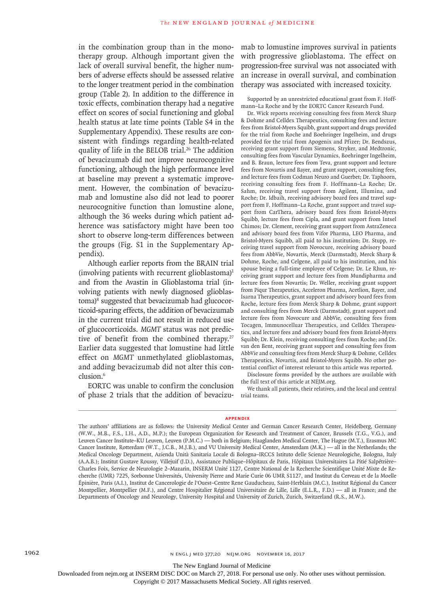in the combination group than in the monotherapy group. Although important given the lack of overall survival benefit, the higher numbers of adverse effects should be assessed relative to the longer treatment period in the combination group (Table 2). In addition to the difference in toxic effects, combination therapy had a negative effect on scores of social functioning and global health status at late time points (Table S4 in the Supplementary Appendix). These results are consistent with findings regarding health-related quality of life in the BELOB trial.<sup>26</sup> The addition of bevacizumab did not improve neurocognitive functioning, although the high performance level at baseline may prevent a systematic improvement. However, the combination of bevacizumab and lomustine also did not lead to poorer neurocognitive function than lomustine alone, although the 36 weeks during which patient adherence was satisfactory might have been too short to observe long-term differences between the groups (Fig. S1 in the Supplementary Appendix).

Although earlier reports from the BRAIN trial (involving patients with recurrent glioblastoma) $1$ and from the Avastin in Glioblastoma trial (involving patients with newly diagnosed glioblastoma)<sup>8</sup> suggested that bevacizumab had glucocorticoid-sparing effects, the addition of bevacizumab in the current trial did not result in reduced use of glucocorticoids. *MGMT* status was not predictive of benefit from the combined therapy.<sup>27</sup> Earlier data suggested that lomustine had little effect on *MGMT* unmethylated glioblastomas, and adding bevacizumab did not alter this conclusion.<sup>6</sup>

EORTC was unable to confirm the conclusion of phase 2 trials that the addition of bevacizumab to lomustine improves survival in patients with progressive glioblastoma. The effect on progression-free survival was not associated with an increase in overall survival, and combination therapy was associated with increased toxicity.

Supported by an unrestricted educational grant from F. Hoffmann–La Roche and by the EORTC Cancer Research Fund.

Dr. Wick reports receiving consulting fees from Merck Sharp & Dohme and Celldex Therapeutics, consulting fees and lecture fees from Bristol-Myers Squibb, grant support and drugs provided for the trial from Roche and Boehringer Ingelheim, and drugs provided for the trial from Apogenix and Pfizer; Dr. Bendszus, receiving grant support from Siemens, Stryker, and Medtronic, consulting fees from Vascular Dynamics, Boehringer Ingelheim, and B. Braun, lecture fees from Teva, grant support and lecture fees from Novartis and Bayer, and grant support, consulting fees, and lecture fees from Codman Neuro and Guerbet; Dr. Taphoorn, receiving consulting fees from F. Hoffmann–La Roche; Dr. Sahm, receiving travel support from Agilent, Illumina, and Roche; Dr. Idbaih, receiving advisory board fees and travel support from F. Hoffmann–La Roche, grant support and travel support from CarThera, advisory board fees from Bristol-Myers Squibb, lecture fees from Cipla, and grant support from Intsel Chimos; Dr. Clement, receiving grant support from AstraZeneca and advisory board fees from Vifor Pharma, LEO Pharma, and Bristol-Myers Squibb, all paid to his institution; Dr. Stupp, receiving travel support from Novocure, receiving advisory board fees from AbbVie, Novartis, Merck (Darmstadt), Merck Sharp & Dohme, Roche, and Celgene, all paid to his institution, and his spouse being a full-time employee of Celgene; Dr. Le Rhun, receiving grant support and lecture fees from Mundipharma and lecture fees from Novartis; Dr. Weller, receiving grant support from Piqur Therapeutics, Acceleron Pharma, Acetlion, Bayer, and Isarna Therapeutics, grant support and advisory board fees from Roche, lecture fees from Merck Sharp & Dohme, grant support and consulting fees from Merck (Darmstadt), grant support and lecture fees from Novocure and AbbVie, consulting fees from Tocagen, Immunocelluar Therapeutics, and Celldex Therapeutics, and lecture fees and advisory board fees from Bristol-Myers Squibb; Dr. Klein, receiving consulting fees from Roche; and Dr. van den Bent, receiving grant support and consulting fees from AbbVie and consulting fees from Merck Sharp & Dohme, Celldex Therapeutics, Novartis, and Bristol-Myers Squibb. No other potential conflict of interest relevant to this article was reported.

Disclosure forms provided by the authors are available with the full text of this article at NEJM.org.

We thank all patients, their relatives, and the local and central trial teams.

#### **Appendix**

The New England Journal of Medicine

Downloaded from nejm.org at INSERM DISC DOC on March 27, 2018. For personal use only. No other uses without permission.

The authors' affiliations are as follows: the University Medical Center and German Cancer Research Center, Heidelberg, Germany (W.W., M.B., F.S., I.H., A.D., M.P.); the European Organization for Research and Treatment of Cancer, Brussels (T.G., V.G.), and Leuven Cancer Institute–KU Leuven, Leuven (P.M.C.) — both in Belgium; Haaglanden Medical Center, The Hague (M.T.), Erasmus MC Cancer Institute, Rotterdam (W.T., J.C.B., M.J.B.), and VU University Medical Center, Amsterdam (M.K.) — all in the Netherlands; the Medical Oncology Department, Azienda Unità Sanitaria Locale di Bologna–IRCCS Istituto delle Scienze Neurologiche, Bologna, Italy (A.A.B.); Institut Gustave Roussy, Villejuif (J.D.), Assistance Publique–Hôpitaux de Paris, Hôpitaux Universitaires La Pitié Salpêtrière– Charles Foix, Service de Neurologie 2–Mazarin, INSERM Unité 1127, Centre National de la Recherche Scientifique Unité Mixte de Recherche (UMR) 7225, Sorbonne Universités, University Pierre and Marie Curie 06 UMR S1127, and Institut du Cerveau et de la Moelle Épinière, Paris (A.I.), Institut de Cancerologie de l'Ouest–Centre Rene Gauducheau, Saint-Herblain (M.C.), Institut Régional du Cancer Montpellier, Montpellier (M.F.), and Centre Hospitalier Régional Universitaire de Lille, Lille (E.L.R., F.D.) — all in France; and the Departments of Oncology and Neurology, University Hospital and University of Zurich, Zurich, Switzerland (R.S., M.W.).